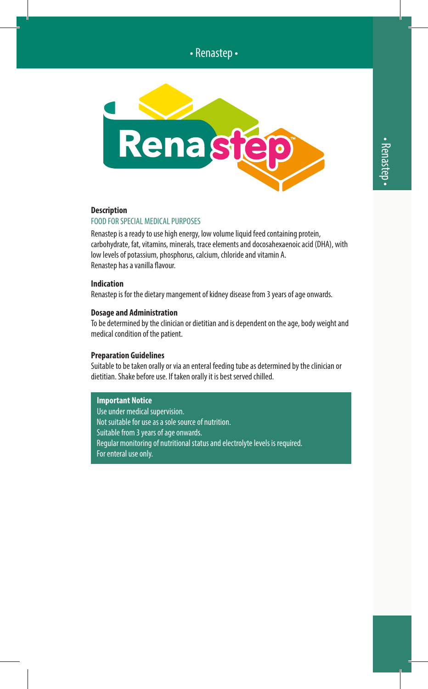# • Renastep •



### **Description**

### FOOD FOR SPECIAL MEDICAL PURPOSES

Renastep is a ready to use high energy, low volume liquid feed containing protein, carbohydrate, fat, vitamins, minerals, trace elements and docosahexaenoic acid (DHA), with low levels of potassium, phosphorus, calcium, chloride and vitamin A. Renastep has a vanilla flavour.

#### **Indication**

Renastep is for the dietary mangement of kidney disease from 3 years of age onwards.

#### **Dosage and Administration**

To be determined by the clinician or dietitian and is dependent on the age, body weight and medical condition of the patient.

#### **Preparation Guidelines**

Suitable to be taken orally or via an enteral feeding tube as determined by the clinician or dietitian. Shake before use. If taken orally it is best served chilled.

#### **Important Notice**

Use under medical supervision. Not suitable for use as a sole source of nutrition. Suitable from 3 years of age onwards. Regular monitoring of nutritional status and electrolyte levels is required. For enteral use only.